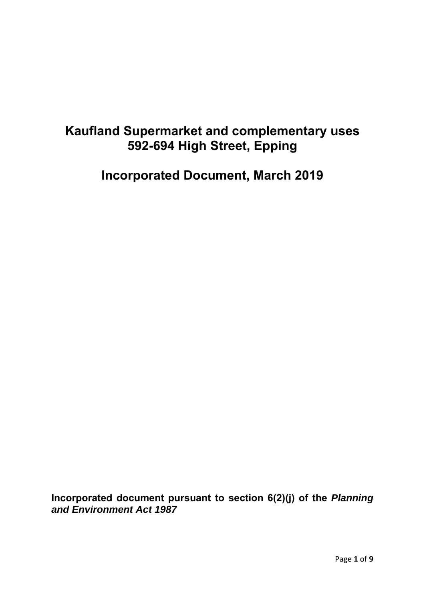# **Kaufland Supermarket and complementary uses 592-694 High Street, Epping**

**Incorporated Document, March 2019** 

**Incorporated document pursuant to section 6(2)(j) of the** *Planning and Environment Act 1987*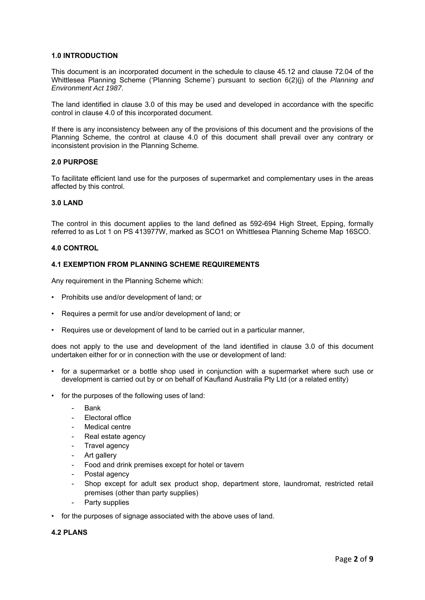## **1.0 INTRODUCTION**

This document is an incorporated document in the schedule to clause 45.12 and clause 72.04 of the Whittlesea Planning Scheme ('Planning Scheme') pursuant to section 6(2)(j) of the *Planning and Environment Act 1987*.

The land identified in clause 3.0 of this may be used and developed in accordance with the specific control in clause 4.0 of this incorporated document.

If there is any inconsistency between any of the provisions of this document and the provisions of the Planning Scheme, the control at clause 4.0 of this document shall prevail over any contrary or inconsistent provision in the Planning Scheme.

## **2.0 PURPOSE**

To facilitate efficient land use for the purposes of supermarket and complementary uses in the areas affected by this control.

#### **3.0 LAND**

The control in this document applies to the land defined as 592-694 High Street, Epping, formally referred to as Lot 1 on PS 413977W, marked as SCO1 on Whittlesea Planning Scheme Map 16SCO.

## **4.0 CONTROL**

## **4.1 EXEMPTION FROM PLANNING SCHEME REQUIREMENTS**

Any requirement in the Planning Scheme which:

- Prohibits use and/or development of land; or
- Requires a permit for use and/or development of land; or
- Requires use or development of land to be carried out in a particular manner,

does not apply to the use and development of the land identified in clause 3.0 of this document undertaken either for or in connection with the use or development of land:

- for a supermarket or a bottle shop used in conjunction with a supermarket where such use or development is carried out by or on behalf of Kaufland Australia Pty Ltd (or a related entity)
- for the purposes of the following uses of land:
	- **Bank**
	- Electoral office
	- Medical centre
	- Real estate agency
	- Travel agency
	- Art gallery
	- Food and drink premises except for hotel or tavern
	- Postal agency
	- Shop except for adult sex product shop, department store, laundromat, restricted retail premises (other than party supplies)
	- Party supplies
- for the purposes of signage associated with the above uses of land.

# **4.2 PLANS**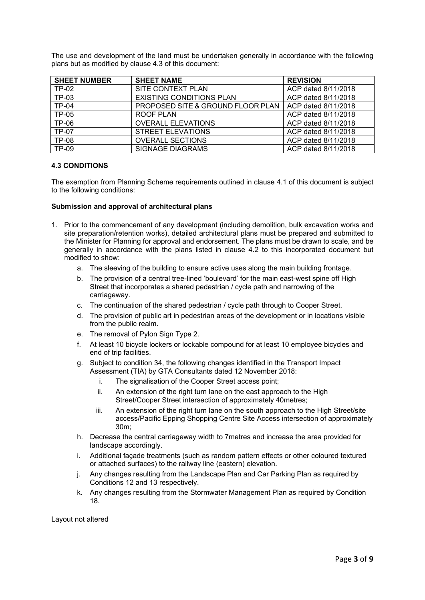The use and development of the land must be undertaken generally in accordance with the following plans but as modified by clause 4.3 of this document:

| <b>SHEET NUMBER</b> | <b>SHEET NAME</b>                 | <b>REVISION</b>     |
|---------------------|-----------------------------------|---------------------|
| <b>TP-02</b>        | SITE CONTEXT PLAN                 | ACP dated 8/11/2018 |
| TP-03               | <b>EXISTING CONDITIONS PLAN</b>   | ACP dated 8/11/2018 |
| <b>TP-04</b>        | PROPOSED SITE & GROUND FLOOR PLAN | ACP dated 8/11/2018 |
| <b>TP-05</b>        | <b>ROOF PLAN</b>                  | ACP dated 8/11/2018 |
| <b>TP-06</b>        | <b>OVERALL ELEVATIONS</b>         | ACP dated 8/11/2018 |
| <b>TP-07</b>        | STREET ELEVATIONS                 | ACP dated 8/11/2018 |
| <b>TP-08</b>        | <b>OVERALL SECTIONS</b>           | ACP dated 8/11/2018 |
| <b>TP-09</b>        | <b>SIGNAGE DIAGRAMS</b>           | ACP dated 8/11/2018 |

## **4.3 CONDITIONS**

The exemption from Planning Scheme requirements outlined in clause 4.1 of this document is subject to the following conditions:

## **Submission and approval of architectural plans**

- 1. Prior to the commencement of any development (including demolition, bulk excavation works and site preparation/retention works), detailed architectural plans must be prepared and submitted to the Minister for Planning for approval and endorsement. The plans must be drawn to scale, and be generally in accordance with the plans listed in clause 4.2 to this incorporated document but modified to show:
	- a. The sleeving of the building to ensure active uses along the main building frontage.
	- b. The provision of a central tree-lined 'boulevard' for the main east-west spine off High Street that incorporates a shared pedestrian / cycle path and narrowing of the carriageway.
	- c. The continuation of the shared pedestrian / cycle path through to Cooper Street.
	- d. The provision of public art in pedestrian areas of the development or in locations visible from the public realm.
	- e. The removal of Pylon Sign Type 2.
	- f. At least 10 bicycle lockers or lockable compound for at least 10 employee bicycles and end of trip facilities.
	- g. Subject to condition 34, the following changes identified in the Transport Impact Assessment (TIA) by GTA Consultants dated 12 November 2018:
		- i. The signalisation of the Cooper Street access point;
		- ii. An extension of the right turn lane on the east approach to the High Street/Cooper Street intersection of approximately 40metres;
		- iii. An extension of the right turn lane on the south approach to the High Street/site access/Pacific Epping Shopping Centre Site Access intersection of approximately 30m;
	- h. Decrease the central carriageway width to 7metres and increase the area provided for landscape accordingly.
	- i. Additional façade treatments (such as random pattern effects or other coloured textured or attached surfaces) to the railway line (eastern) elevation.
	- j. Any changes resulting from the Landscape Plan and Car Parking Plan as required by Conditions 12 and 13 respectively.
	- k. Any changes resulting from the Stormwater Management Plan as required by Condition 18.

#### Layout not altered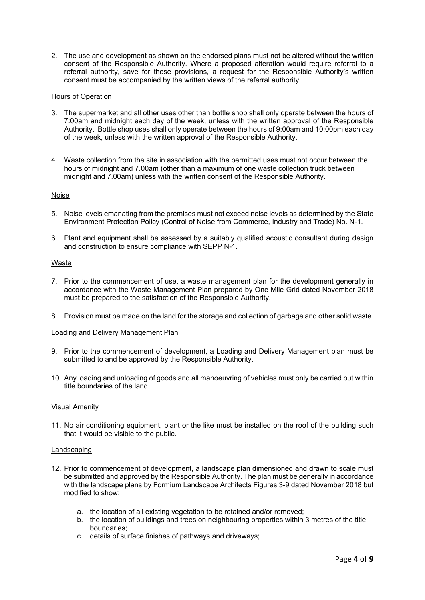2. The use and development as shown on the endorsed plans must not be altered without the written consent of the Responsible Authority. Where a proposed alteration would require referral to a referral authority, save for these provisions, a request for the Responsible Authority's written consent must be accompanied by the written views of the referral authority.

## Hours of Operation

- 3. The supermarket and all other uses other than bottle shop shall only operate between the hours of 7:00am and midnight each day of the week, unless with the written approval of the Responsible Authority. Bottle shop uses shall only operate between the hours of 9:00am and 10:00pm each day of the week, unless with the written approval of the Responsible Authority.
- 4. Waste collection from the site in association with the permitted uses must not occur between the hours of midnight and 7.00am (other than a maximum of one waste collection truck between midnight and 7.00am) unless with the written consent of the Responsible Authority.

#### Noise

- 5. Noise levels emanating from the premises must not exceed noise levels as determined by the State Environment Protection Policy (Control of Noise from Commerce, Industry and Trade) No. N-1.
- 6. Plant and equipment shall be assessed by a suitably qualified acoustic consultant during design and construction to ensure compliance with SEPP N-1.

# Waste

- 7. Prior to the commencement of use, a waste management plan for the development generally in accordance with the Waste Management Plan prepared by One Mile Grid dated November 2018 must be prepared to the satisfaction of the Responsible Authority.
- 8. Provision must be made on the land for the storage and collection of garbage and other solid waste.

### Loading and Delivery Management Plan

- 9. Prior to the commencement of development, a Loading and Delivery Management plan must be submitted to and be approved by the Responsible Authority.
- 10. Any loading and unloading of goods and all manoeuvring of vehicles must only be carried out within title boundaries of the land.

#### Visual Amenity

11. No air conditioning equipment, plant or the like must be installed on the roof of the building such that it would be visible to the public.

#### Landscaping

- 12. Prior to commencement of development, a landscape plan dimensioned and drawn to scale must be submitted and approved by the Responsible Authority. The plan must be generally in accordance with the landscape plans by Formium Landscape Architects Figures 3-9 dated November 2018 but modified to show:
	- a. the location of all existing vegetation to be retained and/or removed;
	- b. the location of buildings and trees on neighbouring properties within 3 metres of the title boundaries;
	- c. details of surface finishes of pathways and driveways;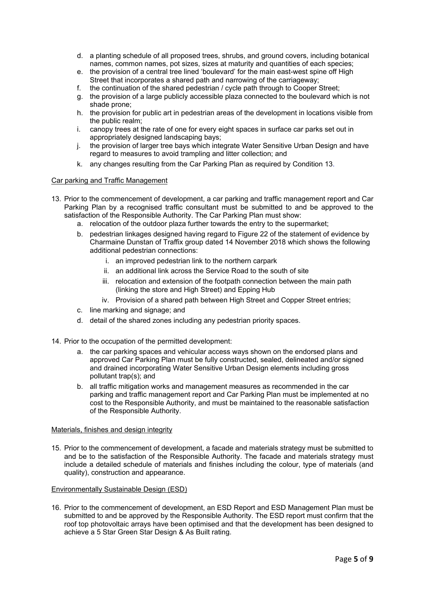- d. a planting schedule of all proposed trees, shrubs, and ground covers, including botanical names, common names, pot sizes, sizes at maturity and quantities of each species;
- e. the provision of a central tree lined 'boulevard' for the main east-west spine off High Street that incorporates a shared path and narrowing of the carriageway;
- f. the continuation of the shared pedestrian / cycle path through to Cooper Street;
- g. the provision of a large publicly accessible plaza connected to the boulevard which is not shade prone;
- h. the provision for public art in pedestrian areas of the development in locations visible from the public realm;
- i. canopy trees at the rate of one for every eight spaces in surface car parks set out in appropriately designed landscaping bays;
- j. the provision of larger tree bays which integrate Water Sensitive Urban Design and have regard to measures to avoid trampling and litter collection; and
- k. any changes resulting from the Car Parking Plan as required by Condition 13.

#### Car parking and Traffic Management

- 13. Prior to the commencement of development, a car parking and traffic management report and Car Parking Plan by a recognised traffic consultant must be submitted to and be approved to the satisfaction of the Responsible Authority. The Car Parking Plan must show:
	- a. relocation of the outdoor plaza further towards the entry to the supermarket;
	- b. pedestrian linkages designed having regard to Figure 22 of the statement of evidence by Charmaine Dunstan of Traffix group dated 14 November 2018 which shows the following additional pedestrian connections:
		- i. an improved pedestrian link to the northern carpark
		- ii. an additional link across the Service Road to the south of site
		- iii. relocation and extension of the footpath connection between the main path (linking the store and High Street) and Epping Hub
		- iv. Provision of a shared path between High Street and Copper Street entries;
	- c. line marking and signage; and
	- d. detail of the shared zones including any pedestrian priority spaces.
- 14. Prior to the occupation of the permitted development:
	- a. the car parking spaces and vehicular access ways shown on the endorsed plans and approved Car Parking Plan must be fully constructed, sealed, delineated and/or signed and drained incorporating Water Sensitive Urban Design elements including gross pollutant trap(s); and
	- b. all traffic mitigation works and management measures as recommended in the car parking and traffic management report and Car Parking Plan must be implemented at no cost to the Responsible Authority, and must be maintained to the reasonable satisfaction of the Responsible Authority.

#### Materials, finishes and design integrity

15. Prior to the commencement of development, a facade and materials strategy must be submitted to and be to the satisfaction of the Responsible Authority. The facade and materials strategy must include a detailed schedule of materials and finishes including the colour, type of materials (and quality), construction and appearance.

#### Environmentally Sustainable Design (ESD)

16. Prior to the commencement of development, an ESD Report and ESD Management Plan must be submitted to and be approved by the Responsible Authority. The ESD report must confirm that the roof top photovoltaic arrays have been optimised and that the development has been designed to achieve a 5 Star Green Star Design & As Built rating.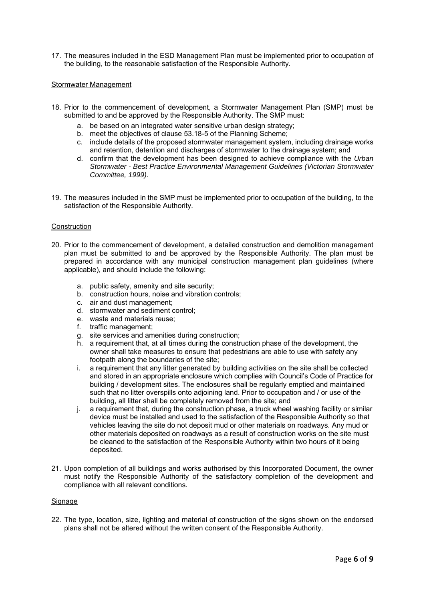17. The measures included in the ESD Management Plan must be implemented prior to occupation of the building, to the reasonable satisfaction of the Responsible Authority.

#### Stormwater Management

- 18. Prior to the commencement of development, a Stormwater Management Plan (SMP) must be submitted to and be approved by the Responsible Authority. The SMP must:
	- a. be based on an integrated water sensitive urban design strategy;
	- b. meet the objectives of clause 53.18-5 of the Planning Scheme;
	- c. include details of the proposed stormwater management system, including drainage works and retention, detention and discharges of stormwater to the drainage system; and
	- d. confirm that the development has been designed to achieve compliance with the *Urban Stormwater - Best Practice Environmental Management Guidelines (Victorian Stormwater Committee, 1999)*.
- 19. The measures included in the SMP must be implemented prior to occupation of the building, to the satisfaction of the Responsible Authority.

#### **Construction**

- 20. Prior to the commencement of development, a detailed construction and demolition management plan must be submitted to and be approved by the Responsible Authority. The plan must be prepared in accordance with any municipal construction management plan guidelines (where applicable), and should include the following:
	- a. public safety, amenity and site security;
	- b. construction hours, noise and vibration controls;
	- c. air and dust management;
	- d. stormwater and sediment control;
	- e. waste and materials reuse;
	- f. traffic management;
	- g. site services and amenities during construction;
	- h. a requirement that, at all times during the construction phase of the development, the owner shall take measures to ensure that pedestrians are able to use with safety any footpath along the boundaries of the site;
	- i. a requirement that any litter generated by building activities on the site shall be collected and stored in an appropriate enclosure which complies with Council's Code of Practice for building / development sites. The enclosures shall be regularly emptied and maintained such that no litter overspills onto adjoining land. Prior to occupation and / or use of the building, all litter shall be completely removed from the site; and
	- j. a requirement that, during the construction phase, a truck wheel washing facility or similar device must be installed and used to the satisfaction of the Responsible Authority so that vehicles leaving the site do not deposit mud or other materials on roadways. Any mud or other materials deposited on roadways as a result of construction works on the site must be cleaned to the satisfaction of the Responsible Authority within two hours of it being deposited.
- 21. Upon completion of all buildings and works authorised by this Incorporated Document, the owner must notify the Responsible Authority of the satisfactory completion of the development and compliance with all relevant conditions.

#### **Signage**

22. The type, location, size, lighting and material of construction of the signs shown on the endorsed plans shall not be altered without the written consent of the Responsible Authority.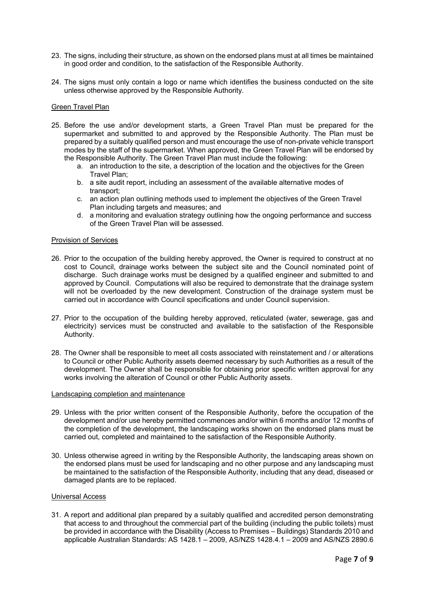- 23. The signs, including their structure, as shown on the endorsed plans must at all times be maintained in good order and condition, to the satisfaction of the Responsible Authority.
- 24. The signs must only contain a logo or name which identifies the business conducted on the site unless otherwise approved by the Responsible Authority.

#### Green Travel Plan

- 25. Before the use and/or development starts, a Green Travel Plan must be prepared for the supermarket and submitted to and approved by the Responsible Authority. The Plan must be prepared by a suitably qualified person and must encourage the use of non-private vehicle transport modes by the staff of the supermarket. When approved, the Green Travel Plan will be endorsed by the Responsible Authority. The Green Travel Plan must include the following:
	- a. an introduction to the site, a description of the location and the objectives for the Green Travel Plan;
	- b. a site audit report, including an assessment of the available alternative modes of transport;
	- c. an action plan outlining methods used to implement the objectives of the Green Travel Plan including targets and measures; and
	- d. a monitoring and evaluation strategy outlining how the ongoing performance and success of the Green Travel Plan will be assessed.

#### Provision of Services

- 26. Prior to the occupation of the building hereby approved, the Owner is required to construct at no cost to Council, drainage works between the subject site and the Council nominated point of discharge. Such drainage works must be designed by a qualified engineer and submitted to and approved by Council. Computations will also be required to demonstrate that the drainage system will not be overloaded by the new development. Construction of the drainage system must be carried out in accordance with Council specifications and under Council supervision.
- 27. Prior to the occupation of the building hereby approved, reticulated (water, sewerage, gas and electricity) services must be constructed and available to the satisfaction of the Responsible Authority.
- 28. The Owner shall be responsible to meet all costs associated with reinstatement and / or alterations to Council or other Public Authority assets deemed necessary by such Authorities as a result of the development. The Owner shall be responsible for obtaining prior specific written approval for any works involving the alteration of Council or other Public Authority assets.

#### Landscaping completion and maintenance

- 29. Unless with the prior written consent of the Responsible Authority, before the occupation of the development and/or use hereby permitted commences and/or within 6 months and/or 12 months of the completion of the development, the landscaping works shown on the endorsed plans must be carried out, completed and maintained to the satisfaction of the Responsible Authority.
- 30. Unless otherwise agreed in writing by the Responsible Authority, the landscaping areas shown on the endorsed plans must be used for landscaping and no other purpose and any landscaping must be maintained to the satisfaction of the Responsible Authority, including that any dead, diseased or damaged plants are to be replaced.

## Universal Access

31. A report and additional plan prepared by a suitably qualified and accredited person demonstrating that access to and throughout the commercial part of the building (including the public toilets) must be provided in accordance with the Disability (Access to Premises – Buildings) Standards 2010 and applicable Australian Standards: AS 1428.1 – 2009, AS/NZS 1428.4.1 – 2009 and AS/NZS 2890.6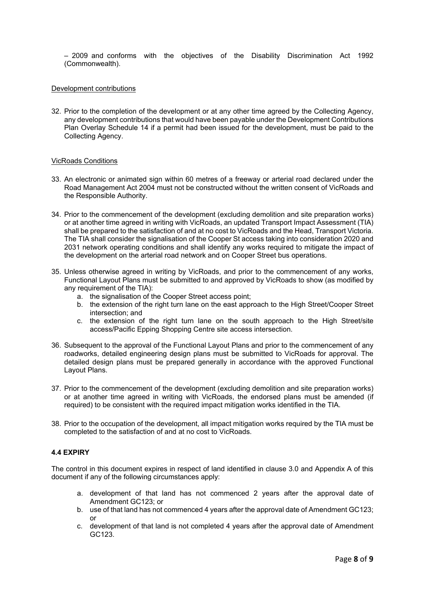– 2009 and conforms with the objectives of the Disability Discrimination Act 1992 (Commonwealth).

## Development contributions

32. Prior to the completion of the development or at any other time agreed by the Collecting Agency, any development contributions that would have been payable under the Development Contributions Plan Overlay Schedule 14 if a permit had been issued for the development, must be paid to the Collecting Agency.

## VicRoads Conditions

- 33. An electronic or animated sign within 60 metres of a freeway or arterial road declared under the Road Management Act 2004 must not be constructed without the written consent of VicRoads and the Responsible Authority.
- 34. Prior to the commencement of the development (excluding demolition and site preparation works) or at another time agreed in writing with VicRoads, an updated Transport Impact Assessment (TIA) shall be prepared to the satisfaction of and at no cost to VicRoads and the Head, Transport Victoria. The TIA shall consider the signalisation of the Cooper St access taking into consideration 2020 and 2031 network operating conditions and shall identify any works required to mitigate the impact of the development on the arterial road network and on Cooper Street bus operations.
- 35. Unless otherwise agreed in writing by VicRoads, and prior to the commencement of any works, Functional Layout Plans must be submitted to and approved by VicRoads to show (as modified by any requirement of the TIA):
	- a. the signalisation of the Cooper Street access point;
	- b. the extension of the right turn lane on the east approach to the High Street/Cooper Street intersection; and
	- c. the extension of the right turn lane on the south approach to the High Street/site access/Pacific Epping Shopping Centre site access intersection.
- 36. Subsequent to the approval of the Functional Layout Plans and prior to the commencement of any roadworks, detailed engineering design plans must be submitted to VicRoads for approval. The detailed design plans must be prepared generally in accordance with the approved Functional Layout Plans.
- 37. Prior to the commencement of the development (excluding demolition and site preparation works) or at another time agreed in writing with VicRoads, the endorsed plans must be amended (if required) to be consistent with the required impact mitigation works identified in the TIA.
- 38. Prior to the occupation of the development, all impact mitigation works required by the TIA must be completed to the satisfaction of and at no cost to VicRoads.

# **4.4 EXPIRY**

The control in this document expires in respect of land identified in clause 3.0 and Appendix A of this document if any of the following circumstances apply:

- a. development of that land has not commenced 2 years after the approval date of Amendment GC123; or
- b. use of that land has not commenced 4 years after the approval date of Amendment GC123; or
- c. development of that land is not completed 4 years after the approval date of Amendment GC123.